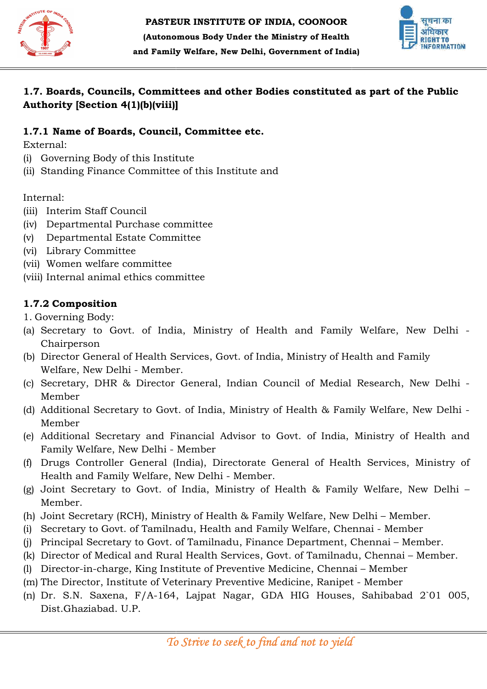



## 1.7. Boards, Councils, Committees and other Bodies constituted as part of the Public Authority [Section 4(1)(b)(viii)]

## 1.7.1 Name of Boards, Council, Committee etc.

External:

- (i) Governing Body of this Institute
- (i) Governing Body of this Institute<br>(ii) Standing Finance Committee of this Institute and

Internal:

- (iii) Interim Staff Council
- (iv) Departmental Purchase committee
- (v) Departmental Estate Committee
- (vi) Library Committee
- (vii) Women welfare committee
- (viii) Internal animal ethics committee

# 1.7.2 Composition

1. Governing Body:

- (a) Secretary to Govt. of India, Ministry of Health and Family Welfare, New Delhi -Chairperson Purchase committee<br>Estate Committee<br>ittee<br>e committee<br>la ethics committee<br>is all of Health Services, Govt. of India, Ministry<br>la of Health Services, Govt. of India, Ministry
- (b) Director General of Health Services, Govt. of India, Ministry of Health and Family Welfare, New Delhi - Member.
- (c) Secretary, DHR & Director General, Indian Council of Medial Research, New Delhi Member
- (d) Additional Secretary to Govt. of India, Ministry of Health & Family Welfare, New Delhi Member **Boarts, Councils, Committees and other Bodies constituted as part of the Public<br>Boarts, Council, Scommittee<br>
In Name of Boards, Council, Committee etc.<br>
The Name of Boards, Council, Committee etc.<br>
However,<br>
The Therin St** DHR & Director General, Indian Council of Medial<br>Secretary to Govt. of India, Ministry of Health & Fam<br>Secretary and Financial Advisor to Govt. of India,<br>fare, New Delhi - Member and Family Welfare, New Delhi, Government of India)<br>
Councils, Committee and other Bodies constituted as part of<br>
Section 441(b)(viii)]<br>
of Boards, Council, Committee etc.<br>
g Body of this Institute<br>
Finance Committee of th
- (e) Additional Secretary and Financial Advisor to Govt. of India, Ministry of Health and Family Welfare, New Delhi -
- (f) Drugs Controller General (India), Directorate General of Health Services, Ministry of<br>Health and Family Welfare, New Delhi Member.<br>(g) Joint Secretary to Govt. of India, Ministry of Health & Family Welfare, New Delhi Health and Family Welfare, New Delhi - Member.
- (g) Joint Secretary to Govt. of India, Ministry of Health & Family Welfare, New Delhi Member.
- (h) Joint Secretary (RCH), Ministry of Health & Family Welfare, New Delhi Member.
- (i) Secretary to Govt. of Tamilnadu, Health and Family Welfare, Chennai Member
- (j) Principal Secretary to Govt. of Tamilnadu, Finance Department, Chennai Member.
- (k) Director of Medical and Rural Health Services, Govt. of Tamilnadu, Chennai Member.
- (l) Director-in-charge, King Institute of Preventive Medicine, Chennai Member
- (m) The Director, Institute of Veterinary Preventive Medicine, Ranipet Member
- (n) Dr. S.N. Saxena, F/A-164, Lajpat Nagar, GDA HIG Houses, Sahibabad 2`01 005, Dist.Ghaziabad. U.P.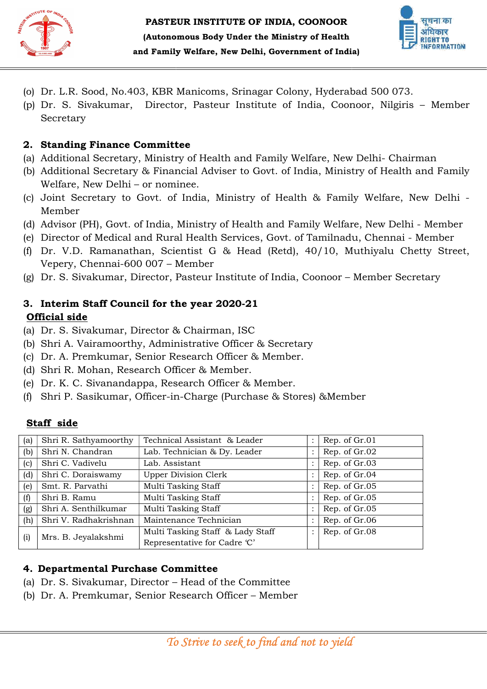



- (o) Dr. L.R. Sood, No.403, KBR Man
- (o) Dr. L.R. Sood, No.403, KBR Manicoms, Srinagar Colony, Hyderabad 500 073.<br>(p) Dr. S. Sivakumar, Director, Pasteur Institute of India, Coonoor, Nilgiris Member Secretary

## 2. Standing Finance Committee Standing Finance

- (a) Additional Secretary, Ministry of Health and Family Welfare, New Delhi Secretary, Ministry Delhi- Chairman
- (b) Additional Secretary & Financial Adviser to Govt. of India, Ministry of Health and Family Welfare, New Delhi – or nominee.
- (c) Joint Secretary to Govt. of India, Ministry of Health & Family Welfare, New Delhi -Member
- (d) Advisor (PH), Govt. of India, Ministry of Health and Family Welfare, New Delhi Member
- (e) Director of Medical and Rural Health Services, Govt. of Tamilnadu, Chennai Member
- (f) Dr. V.D. Ramanathan, Scientist G & Head (Retd), 40/10, Muthiyalu Chetty Street, Vepery, Chennai-600 007 – Member of Medical and Rural Health Services, Govt. of Tamilnadu, Chennai - Member<br>Ramanathan, Scientist G & Head (Retd), 40/10, Muthiyalu Chetty Street,<br>Chennai-600 007 – Member<br>vakumar, Director, Pasteur Institute of India, Coon
- (g) Dr. S. Sivakumar, Director, Pasteur Institute of India, Coonoor Member Secretary

#### 3. Interim Staff Council for the year 2020-21 Official side

- (a) Dr. S. Sivakumar, Director & Chairman, ISC
- (b) Shri A. Vairamoorthy, Administrative Officer & Secretary
- (c) Dr. A. Premkumar, Senior Research Officer & Member.
- (d) Shri R. Mohan, Research Officer & Member.
- (e) Dr. K. C. Sivanandappa, Research Officer & Member.
- (b) Shri A. Vairamoorthy, Administrative Officer & Secretary<br>
(c) Dr. A. Premkumar, Senior Research Officer & Member.<br>
(d) Shri R. Mohan, Research Officer & Member.<br>
(e) Dr. K. C. Sivanandappa, Research Officer & Member.<br>

## Staff side

| (p)                                        | Secretary                                                                                                           | (o) Dr. L.R. Sood, No.403, KBR Manicoms, Srinagar Colony, Hyderabad 500 073.<br>Dr. S. Sivakumar, Director, Pasteur Institute of India, Coonoor, Nilgiris - |                      |                                |  |
|--------------------------------------------|---------------------------------------------------------------------------------------------------------------------|-------------------------------------------------------------------------------------------------------------------------------------------------------------|----------------------|--------------------------------|--|
|                                            | 2. Standing Finance Committee                                                                                       |                                                                                                                                                             |                      |                                |  |
| (a)                                        | Additional Secretary, Ministry of Health and Family Welfare, New Delhi-Chairm                                       |                                                                                                                                                             |                      |                                |  |
| (b)                                        | Additional Secretary & Financial Adviser to Govt. of India, Ministry of Health and                                  |                                                                                                                                                             |                      |                                |  |
|                                            | Welfare, New Delhi – or nominee.                                                                                    |                                                                                                                                                             |                      |                                |  |
|                                            | (c) Joint Secretary to Govt. of India, Ministry of Health & Family Welfare, Nev                                     |                                                                                                                                                             |                      |                                |  |
|                                            | Member                                                                                                              |                                                                                                                                                             |                      |                                |  |
|                                            | (d) Advisor (PH), Govt. of India, Ministry of Health and Family Welfare, New Delhi -                                |                                                                                                                                                             |                      |                                |  |
| (e)                                        | Director of Medical and Rural Health Services, Govt. of Tamilnadu, Chennai - M                                      |                                                                                                                                                             |                      |                                |  |
| (f)                                        | Dr. V.D. Ramanathan, Scientist G & Head (Retd), 40/10, Muthiyalu Chet                                               |                                                                                                                                                             |                      |                                |  |
|                                            | Vepery, Chennai-600 007 – Member<br>Dr. S. Sivakumar, Director, Pasteur Institute of India, Coonoor – Member Secret |                                                                                                                                                             |                      |                                |  |
| (g)                                        |                                                                                                                     |                                                                                                                                                             |                      |                                |  |
|                                            |                                                                                                                     |                                                                                                                                                             |                      |                                |  |
|                                            | 3. Interim Staff Council for the year 2020-21<br><b>Official side</b>                                               |                                                                                                                                                             |                      |                                |  |
|                                            | (a) Dr. S. Sivakumar, Director & Chairman, ISC                                                                      |                                                                                                                                                             |                      |                                |  |
| (b)                                        | Shri A. Vairamoorthy, Administrative Officer & Secretary                                                            |                                                                                                                                                             |                      |                                |  |
| (c)                                        | Dr. A. Premkumar, Senior Research Officer & Member.                                                                 |                                                                                                                                                             |                      |                                |  |
| (d)                                        | Shri R. Mohan, Research Officer & Member.                                                                           |                                                                                                                                                             |                      |                                |  |
| (e)                                        |                                                                                                                     | Dr. K. C. Sivanandappa, Research Officer & Member.                                                                                                          |                      |                                |  |
| (f)                                        | Shri P. Sasikumar, Officer-in-Charge (Purchase & Stores) & Member                                                   |                                                                                                                                                             |                      |                                |  |
|                                            |                                                                                                                     |                                                                                                                                                             |                      |                                |  |
| Staff side                                 |                                                                                                                     |                                                                                                                                                             |                      |                                |  |
| (a)                                        | Shri R. Sathyamoorthy                                                                                               | Technical Assistant & Leader                                                                                                                                |                      | Rep. of Gr.01                  |  |
| (b)                                        | Shri N. Chandran                                                                                                    | Lab. Technician & Dy. Leader                                                                                                                                | $\ddot{\cdot}$       | Rep. of Gr.02                  |  |
| (c)                                        | Shri C. Vadivelu                                                                                                    | Lab. Assistant                                                                                                                                              | $\vdots$             | Rep. of Gr.03                  |  |
| (d)                                        | Shri C. Doraiswamy                                                                                                  | <b>Upper Division Clerk</b>                                                                                                                                 | $\ddot{\cdot}$       | Rep. of Gr.04                  |  |
| (e)                                        | Smt. R. Parvathi<br>Shri B. Ramu                                                                                    | Multi Tasking Staff<br>Multi Tasking Staff                                                                                                                  | $\colon$<br>$\colon$ | Rep. of Gr.05<br>Rep. of Gr.05 |  |
| (f)<br>(g)                                 | Shri A. Senthilkumar                                                                                                | Multi Tasking Staff                                                                                                                                         | $\vdots$             | Rep. of Gr.05                  |  |
| (h)                                        | Shri V. Radhakrishnan                                                                                               | Maintenance Technician                                                                                                                                      | $\colon$             | Rep. of Gr.06                  |  |
| (i)                                        | Mrs. B. Jeyalakshmi                                                                                                 | Multi Tasking Staff & Lady Staff                                                                                                                            | $\colon$             | Rep. of Gr.08                  |  |
|                                            |                                                                                                                     | Representative for Cadre 'C'                                                                                                                                |                      |                                |  |
|                                            |                                                                                                                     |                                                                                                                                                             |                      |                                |  |
| 4. Departmental Purchase Committee         |                                                                                                                     |                                                                                                                                                             |                      |                                |  |
|                                            | (a) Dr. S. Sivakumar, Director – Head of the Committee                                                              |                                                                                                                                                             |                      |                                |  |
| (b)                                        | Dr. A. Premkumar, Senior Research Officer – Member                                                                  |                                                                                                                                                             |                      |                                |  |
|                                            |                                                                                                                     |                                                                                                                                                             |                      |                                |  |
|                                            |                                                                                                                     |                                                                                                                                                             |                      |                                |  |
| To Strive to seek to find and not to yield |                                                                                                                     |                                                                                                                                                             |                      |                                |  |

#### 4. Departmental Purchase Committee Committee

- (a) Dr. S. Sivakumar, Director – Head of the Committee
- (b) Dr. A. Premkumar, Senior Research Officer Member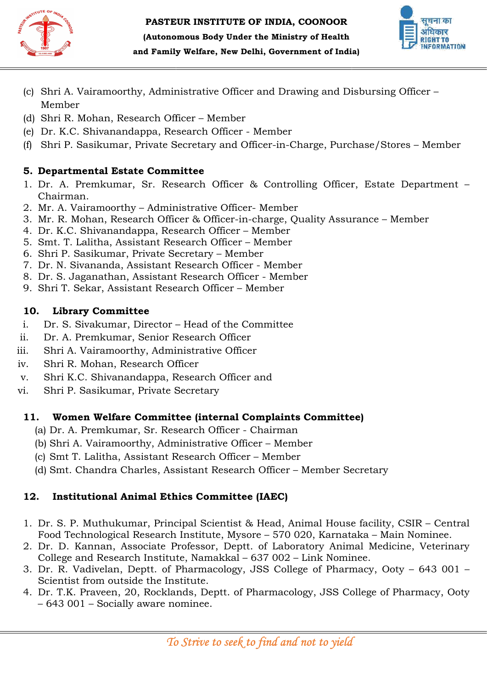



and Family Welfare, New Delhi, Government of India)

- (c) Shri A. Vairamoorthy, Administrative Officer and Drawing and Disbursing Officer Member
- (d) Shri R. Mohan, Research Officer Member
- (e) Dr. K.C. Shivanandappa, Research Officer Member
- (f) Shri P. Sasikumar, Private Secretary and Officer-in-Charge, Purchase/Stores Member

# 5. Departmental Estate Committee

- 1. Dr. A. Premkumar, Sr. Research Officer & Controlling Officer, Estate Department -Chairman.
- 2. Mr. A. Vairamoorthy Administrative Officer Officer- Member
- 3. Mr. R. Mohan, Research Officer & Officer-in-charge, Quality Assurance Member
- 4. Dr. K.C. Shivanandappa, Research Officer Member
- 5. Smt. T. Lalitha, Assistant Research Officer Member
- 6. Shri P. Sasikumar, Private Secretary Member
- 7. Dr. N. Sivananda, Assistant Research Officer Member
- 8. Dr. S. Jaganathan, Assistant Research Officer Member
- 9. Shri T. Sekar, Assistant Research Officer Sekar, Assistant Research Officer Member

# 10. Library Committee

- i. Dr. S. Sivakumar, Director – Head of the Committee
- ii. Dr. A. Premkumar, Senior Research Officer
- iii. Shri A. Vairamoorthy, Administrative Officer ii. Dr. A. Premkumar, Senior Research Officer<br>
ii. Shri A. Vairamoorthy, Administrative Officer<br>
v. Shri K.C. Shivanandappa, Research Officer and
- iv. Shri R. Mohan, Research Officer
- 
- vi. Shri P. Sasikumar, Private Secretary

# 11. Women Welfare Committee (internal Complaints Committee) Shri P. Sasikumar, Private Secretary<br> **Women Welfare Committee (internal Complaints**<br>
(a) Dr. A. Premkumar, Sr. Research Officer - Chairman)

- 
- (b) Shri A. Vairamoorthy, Administrative Officer Member
- (c) Smt T. Lalitha, Assistant Research Officer Smt Member
- (d) Smt. Chandra Charles, Assistant Research Officer Member Secretary

# 12. Institutional Animal Ethics Committee (IAEC)

- 1. Dr. S. P. Muthukumar, Principal Scientist & Head, Animal House facility, CSIR Central Dr. S. P. Muthukumar, Principal Scientist & Head, Animal House facility, CSIR – Cent<br>Food Technological Research Institute, Mysore – 570 020, Karnataka – Main Nominee.
- 2. Dr. D. Kannan, Associate Professor, Deptt. of Laboratory Animal Medicine, Veterinary Dr. D. Kannan, Associate Professor, Deptt. of Laboratory Animal 1<br>College and Research Institute, Namakkal – 637 002 – Link Nominee. Administrative Officer and Drawing and Disbursing Officer<br>
ch Officer – Member<br>
ch, Descarch Officer – Member<br>
an, Research Officer – Member<br>
vate Secretary and Officer-in-Charge, Purchase/Stores – Me<br>
Committee<br>
C. Resear and Family Welfare, New Delhi, Government of India)<br>
i A. Vairamoorthy, Administrative Officer and Drawing and Dist<br>
Inc. Mohan, Research Officer – Member<br>
IR. R. Rocklands, R. Rocklands, R. Rocklands, R. Rocklands, R. Roc
- 3. Dr. R. Vadivelan, Deptt. of Pharmacology, JSS College of Pharmacy, Ooty 643 001 -Scientist from outside the Institute.
- 4. Dr. T.K. Praveen, 20, Rocklands, Deptt. of Pharmacology, JSS College of Pharmacy, Ooty – 643 001 – Socially aware nominee.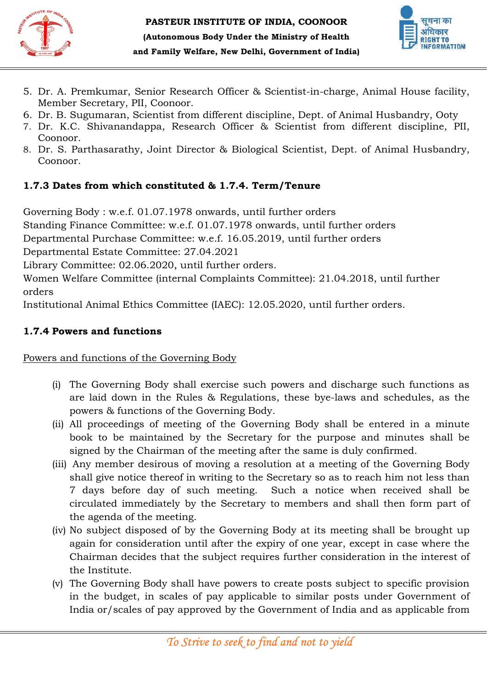



- 5. Dr. A. Premkumar, Senior Research Officer & Scientist Member Secretary, PII, Coonoor.
- 6. Dr. B. Sugumaran, Scientist from different discipline, Dept. of Animal Husbandry, Ooty
- 7. Dr. K.C. Shivanandappa, Research Officer & Scientist from different discipline, PII, Coonoor. nber Secretary, PII, Coonoor.<br>B. Sugumaran, Scientist from different discipline, Dept. of Animal<br>K.C. Shivanandappa, Research Officer & Scientist from differ<br>noor.<br>S. Parthasarathy, Joint Director & Biological Scientist, D charge, Animal House facility,<br>of Animal Husbandry, Ooty<br>from different discipline, PII,<br>pept. of Animal Husbandry,
- 8. Dr. S. Parthasarathy, Joint Director & Biological Scientist, Dept. of Coonoor.

# 1.7.3 Dates from which constituted & 1.7.4. Term/Tenure

Governing Body : w.e.f. 01.07.1978 onwards, until further orders

Standing Finance Committee: w.e.f. 01.07.1978 onwards, until further orders w.e.f. 01.07.1978 onwards, until further orders<br>Committee: w.e.f. 01.07.1978 onwards, until further orde<br>chase Committee: w.e.f. 16.05.2019, until further orders

Departmental Purchase Committee: w.e.f. 16.05.2019, until further orders

Departmental Estate Committee: 27.04.2021

Library Committee: 02.06.2020, until further orders. Library Committee: 02.06.2020,

Women Welfare Committee (internal Complaints Committee): 21.04.2018, until further<br>orders<br>Institutional Animal Ethics Committee (IAEC): 12.05.2020, until further orders. orders

Institutional Animal Ethics Committee (IAEC): 12.05.2020, until further orders.

# 1.7.4 Powers and functions

Powers and functions of the Governing Body

- (i) The Governing Body shall exercise such powers and discharge such functions as Powers and functions of the Governing Body<br>
(i) The Governing Body shall exercise such powers and discharge<br>
are laid down in the Rules & Regulations, these bye-laws and powers & functions of the Governing Body. : 12.05.2020, until further orders.<br>such powers and discharge such functions as<br>alations, these bye-laws and schedules, as the
	- (ii) All proceedings of meeting of the Governing Body shall be entered in a minute book to be maintained by the Secretary for the purpose and minutes shall be signed by the Chairman of the meeting after the same is duly confirmed. ceedings of meeting of the Governing Body shall be entered in a minute<br>o be maintained by the Secretary for the purpose and minutes shall be<br>by the Chairman of the meeting after the same is duly confirmed.
- (iii) Any member desirous of moving a resolution at a meeting of the Governing Body shall give notice thereof in writing to the Secretary so as to reach him not less than 7 days before day of such meeting. Such a notice when recei circulated immediately by the Secretary to members and shall then form part of the agenda of the meeting. Scientist-in-charge, Animal House facility,<br>ipline, Dept. of Animal Husbandry, Ooty<br>is Scientist from different discipline, PII,<br>cal Scientist, Dept. of Animal Husbandry,<br>rm/Tenure<br>further orders<br>wards, until further order Any member desirous of moving a resolution at a meeting of the Governing Body shall give notice thereof in writing to the Secretary so as to reach him not less than 7 days before day of such meeting. Such a notice when rec a, Government of India)<br>
Socientist-in-charge, Animal<br>
Socientist-in-charge, Animal<br>
Hus & Scientist from different<br>
gical Scientist, Dept. of Anin<br> **erm/Tenure**<br>
iil further orders<br>
liferent orders<br>
animates, until furth r the same is duly confirmed.<br>ion at a meeting of the Governing Body<br>ecretary so as to reach him not less than<br>juch a notice when received shall be
	- (iv) No subject disposed of by the Governing Body at its meeting shall be brought up again for consideration until after the expiry of one yea r, Chairman decides that the subject requires further consideration in the interest of the Institute.
	- (v) The Governing Body shall have powers to create posts subject to specific provision Chairman decides that the subject requires further consideration in the interest of<br>the Institute.<br>The Governing Body shall have powers to create posts subject to specific provision<br>in the budget, in scales of pay applicab India or/scales of pay approved by the Government of India and as applicable from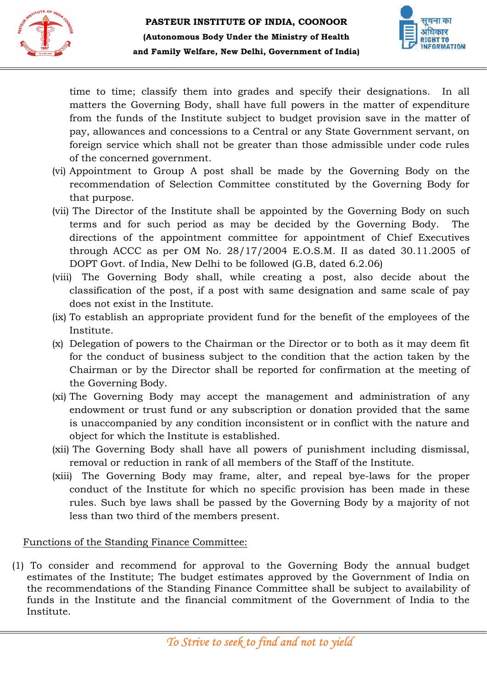



time to time; classify them into grades and specify their designations. In all matters the Governing Body, shall have full powers in the ma matter of expenditure from the funds of the Institute subject to budget provision save in the matter of pay, allowances and concessions to a Central or any State Government servant, on foreign service which shall not be greater than those admissible under code rules of the concerned government. imat to time closing them into grades and specify their designations. In all<br>numero them into most and specify their designations are not be more from the allowers in the matter of expenditure<br>pay, allowances and concessio specific provident and provident of the members in a member of the members the Government of the members Committee and the members Committee and the members Committee and concessions to a Central or any State Covernment se

- (vi) Appointment to Group A post shall be made by the Governing Body on the recommendation of Selection Committee constituted by the Governing Body for that purpose.
- (vii) The Director of the Institute shall be appointed by the Governing Body on such terms and for such period as may be decided by the Governin Governing Body. The terms and for such period as may be decided by the Governing Body. The<br>directions of the appointment committee for appointment of Chief Executives through ACCC as per OM No. 28/17/2004 E.O.S.M. II as dated 30.11.2005 of DOPT Govt. of India, New Delhi to be followed (G.B, dated 6.2.06)
- (viii) The Governing Body shall, while creating a post, also decide about the classification of the post, if a post with same designation and same scale of pay does not exist in the Institute. through ACCC as per OM No. 28/17/2004 E.O.S.M. II as dated 30.11.2005 of DOPT Govt. of India, New Delhi to be followed (G.B, dated 6.2.06)<br>
) The Governing Body shall, while creating a post, also decide about the classific provintment of Chief Executives<br>
1.S.M. II as dated 30.11.2005 of<br>
3, dated 6.2.06)<br>
a post, also decide about the<br>
signation and same scale of pay<br>
ie benefit of the employees of the<br>
ctor or to both as it may deem fit
- (ix) To establish an appropriate provident fund for the benefit of the employees of the Institute.
- (x) Delegation of powers to the Chairman or the Director or to both as it may deem fit for the conduct of business subject to the condition that the action taken by the Chairman or by the Director shall be reported for confirmation at the meeting of the Governing Body.
- (xi) The Governing Body may accept the management and administration of any endowment or trust fund or any subscription or donation provided that the same is unaccompanied by any condition inconsistent or in conflict with the nature and object for which the Institute is established. for the conduct of business subject to the condition that the action taken by the Chairman or by the Director shall be reported for confirmation at the meeting of the Governing Body.<br>The Governing Body may accept the manag
- (xii) The Governing Body shall have all powers of punishment including dismissal, removal or reduction in rank of all members of the Staff of the Inst Institute.
- (xiii) The Governing Body may frame, alter, and repeal bye-laws for the proper conduct of the Institute for which no specific provision has been made in these rules. Such bye laws shall be passed by the Governing Body by a majority of not less than two third of the members present.

#### Functions of the Standing Finance Committee:

(1) To consider and recommend for approval to the Governing Body the annual budget estimates of the Institute; The budget estimates approved by the Government of India on the recommendations of the Standing Finance Committee shall be subject to availability of funds in the Institute and the financial commitment of the Government of India to the Institute.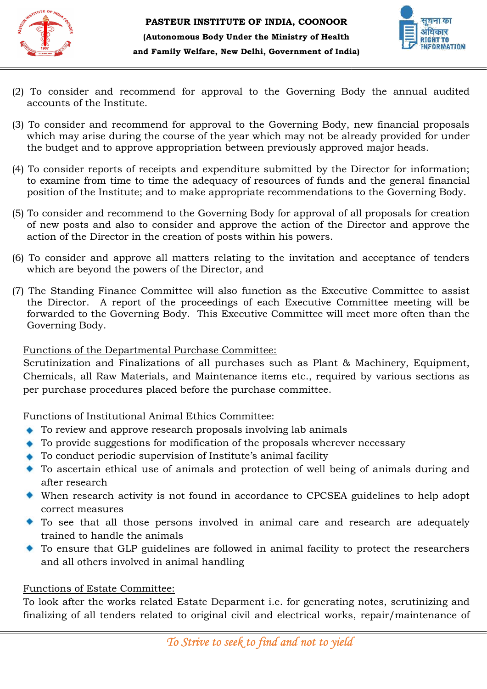



- (2) To consider and recommend for approval to the Governing Body the annual audited accounts of the Institute.
- (3) To consider and recommend for approval to the Governing Body, new financial proposals which may arise during the course of the year which may not be already provided for under the budget and to approve appropriation between previously approved major heads.
- (4) To consider reports of receipts and expenditure submitted by the Director for information; to examine from time to time the adequacy of resources of funds and the general financial To consider reports of receipts and expenditure submitted by the Director for information<br>to examine from time to time the adequacy of resources of funds and the general financia<br>position of the Institute; and to make appr iation between previously approved r<br>d expenditure submitted by the Dire<br>adequacy of resources of funds and<br>ke appropriate recommendations to t<br>Governing Body for approval of all p<br>and approve the action of the Direc<br>n of
- (5) To consider and recommend to the Governing Body for approval of all proposals for creation of new posts and also to consider and approve the action of the Director and approve the action of the Director in the creation of posts within his powers.
- (6) To consider and approve all matters relating to the invitation and acceptance of tenders which are beyond the powers of the Director, and rew posts and also to consider and approve the action of the Director and approve the<br>on of the Director in the creation of posts within his powers.<br>consider and approve all matters relating to the invitation and acceptanc
- (7) The Standing Finance Committee will also function as the Exe the Director. A report of the proceedings of each Executive Committee meeting will be forwarded to the Governing Body. This Executive Committee will meet more often than the Governing Body. To consider and recommend for approval to the Governing Body the annual a<br>To consider and recommend for approval to the Governing Body, new financial pro<br>side in an example during the course of the pear which may not be a the Director. A report of the proceedings of each Executive Committee meeting will be forwarded to the Governing Body. This Executive Committee will meet more often than the Governing Body.<br>Functions of the Departmental Pu **Example 12 and Family Welfare. New Delhi, Government of India)**<br>To consider and recommend for approval to the Governing Body, no<br>coounts of the Institute.<br>To consider and recommend for approval to the Governing Body, w

### Functions of the Departmental Purchase Committee:

Scrutinization and Finalizations of all purchases such as Plant & Machinery, Equipment, Chemicals, all Raw Materials, and Maintenance items etc., required by various sections as per purchase procedures placed before the purchase committee. crutinization and Finalizations of all purchases such as Plant & M<br>
hemicals, all Raw Materials, and Maintenance items etc., required<br>
er purchase procedures placed before the purchase committee.<br>
Unctions of Institutional

Functions of Institutional Animal Ethics Committee:

- ◆ To review and approve research proposals involving lab animals
- To provide suggestions for modification of the proposals wherever necessary
- To conduct periodic supervision of Institute's animal
- To ascertain ethical use of animals and protection of well being of animals during and after research
- When research activity is not found in accordance to CPCSEA guidelines to help adopt correct measures To ascertain ethical use of animals and protection of well being of animals during and<br>after research<br>When research activity is not found in accordance to CPCSEA guidelines to help adopt<br>correct measures<br>To see that all th
- trained to handle the animals
- To ensure that GLP guidelines are followed in animal facility to protect the researchers<br>and all others involved in animal handling and all others involved in animal handling

#### Functions of Estate Committee:

To look after the works related Estate Deparment i.e. for generating notes, scrutinizing and finalizing of all tenders related to original civil and electrical works, repair/maintenance of